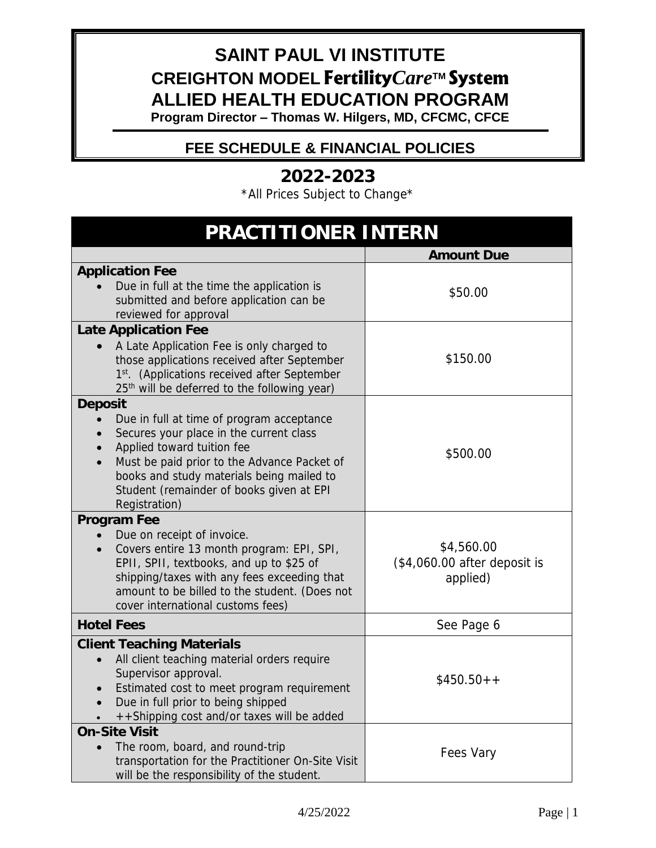### **SAINT PAUL VI INSTITUTE CREIGHTON MODEL Fertility***Care***TM System ALLIED HEALTH EDUCATION PROGRAM**

**Program Director – Thomas W. Hilgers, MD, CFCMC, CFCE** 

### **FEE SCHEDULE & FINANCIAL POLICIES**

**2022-2023**  \*All Prices Subject to Change\*

| PRACTITIONER INTERN                                                                                                                                                                                                                                                                    |                                                         |
|----------------------------------------------------------------------------------------------------------------------------------------------------------------------------------------------------------------------------------------------------------------------------------------|---------------------------------------------------------|
|                                                                                                                                                                                                                                                                                        | <b>Amount Due</b>                                       |
| <b>Application Fee</b><br>Due in full at the time the application is<br>submitted and before application can be<br>reviewed for approval                                                                                                                                               | \$50.00                                                 |
| Late Application Fee<br>A Late Application Fee is only charged to<br>those applications received after September<br>1st. (Applications received after September<br>25 <sup>th</sup> will be deferred to the following year)                                                            | \$150.00                                                |
| Deposit<br>Due in full at time of program acceptance<br>Secures your place in the current class<br>Applied toward tuition fee<br>Must be paid prior to the Advance Packet of<br>books and study materials being mailed to<br>Student (remainder of books given at EPI<br>Registration) | \$500.00                                                |
| Program Fee<br>Due on receipt of invoice.<br>Covers entire 13 month program: EPI, SPI,<br>EPII, SPII, textbooks, and up to \$25 of<br>shipping/taxes with any fees exceeding that<br>amount to be billed to the student. (Does not<br>cover international customs fees)                | \$4,560.00<br>$($4,060.00$ after deposit is<br>applied) |
| <b>Hotel Fees</b>                                                                                                                                                                                                                                                                      | See Page 6                                              |
| <b>Client Teaching Materials</b><br>All client teaching material orders require<br>Supervisor approval.<br>Estimated cost to meet program requirement<br>Due in full prior to being shipped<br>++Shipping cost and/or taxes will be added                                              | $$450.50++$                                             |
| On-Site Visit<br>The room, board, and round-trip<br>transportation for the Practitioner On-Site Visit<br>will be the responsibility of the student.                                                                                                                                    | Fees Vary                                               |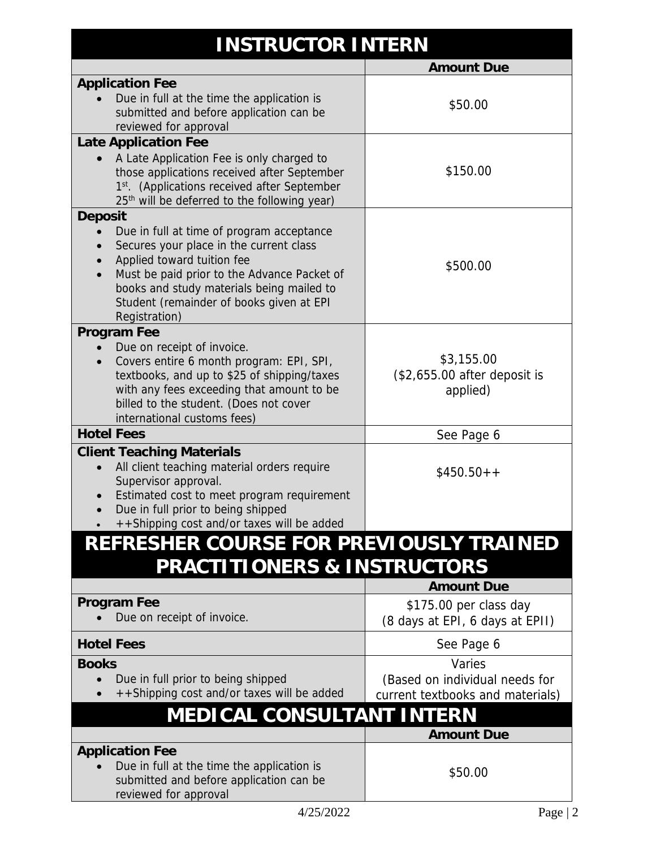## **INSTRUCTOR INTERN**

|                                                                                                                                                                                                                                                                             | <b>Amount Due</b>                                                            |
|-----------------------------------------------------------------------------------------------------------------------------------------------------------------------------------------------------------------------------------------------------------------------------|------------------------------------------------------------------------------|
| <b>Application Fee</b>                                                                                                                                                                                                                                                      |                                                                              |
| Due in full at the time the application is<br>submitted and before application can be<br>reviewed for approval                                                                                                                                                              | \$50.00                                                                      |
| Late Application Fee                                                                                                                                                                                                                                                        |                                                                              |
| A Late Application Fee is only charged to<br>those applications received after September<br>1st. (Applications received after September<br>25 <sup>th</sup> will be deferred to the following year)                                                                         | \$150.00                                                                     |
| Deposit                                                                                                                                                                                                                                                                     |                                                                              |
| Due in full at time of program acceptance<br>Secures your place in the current class<br>Applied toward tuition fee<br>Must be paid prior to the Advance Packet of<br>books and study materials being mailed to<br>Student (remainder of books given at EPI<br>Registration) | \$500.00                                                                     |
| Program Fee                                                                                                                                                                                                                                                                 |                                                                              |
| Due on receipt of invoice.<br>Covers entire 6 month program: EPI, SPI,<br>textbooks, and up to \$25 of shipping/taxes<br>with any fees exceeding that amount to be<br>billed to the student. (Does not cover<br>international customs fees)                                 | \$3,155.00<br>$$2,655.00$ after deposit is<br>applied)                       |
| <b>Hotel Fees</b>                                                                                                                                                                                                                                                           | See Page 6                                                                   |
| <b>Client Teaching Materials</b><br>All client teaching material orders require<br>Supervisor approval.<br>Estimated cost to meet program requirement<br>Due in full prior to being shipped<br>++Shipping cost and/or taxes will be added                                   | $$450.50++$                                                                  |
| REFRESHER COURSE FOR PREVIOUSLY TRAINED<br>PRACTITIONERS & INSTRUCTORS                                                                                                                                                                                                      |                                                                              |
|                                                                                                                                                                                                                                                                             | <b>Amount Due</b>                                                            |
| Program Fee<br>Due on receipt of invoice.                                                                                                                                                                                                                                   | \$175.00 per class day<br>(8 days at EPI, 6 days at EPII)                    |
| <b>Hotel Fees</b>                                                                                                                                                                                                                                                           | See Page 6                                                                   |
| <b>Books</b><br>Due in full prior to being shipped<br>++Shipping cost and/or taxes will be added                                                                                                                                                                            | Varies<br>(Based on individual needs for<br>current textbooks and materials) |
| MEDICAL CONSULTANT INTERN                                                                                                                                                                                                                                                   |                                                                              |
|                                                                                                                                                                                                                                                                             | <b>Amount Due</b>                                                            |
| <b>Application Fee</b><br>Due in full at the time the application is<br>submitted and before application can be<br>reviewed for approval                                                                                                                                    | \$50.00                                                                      |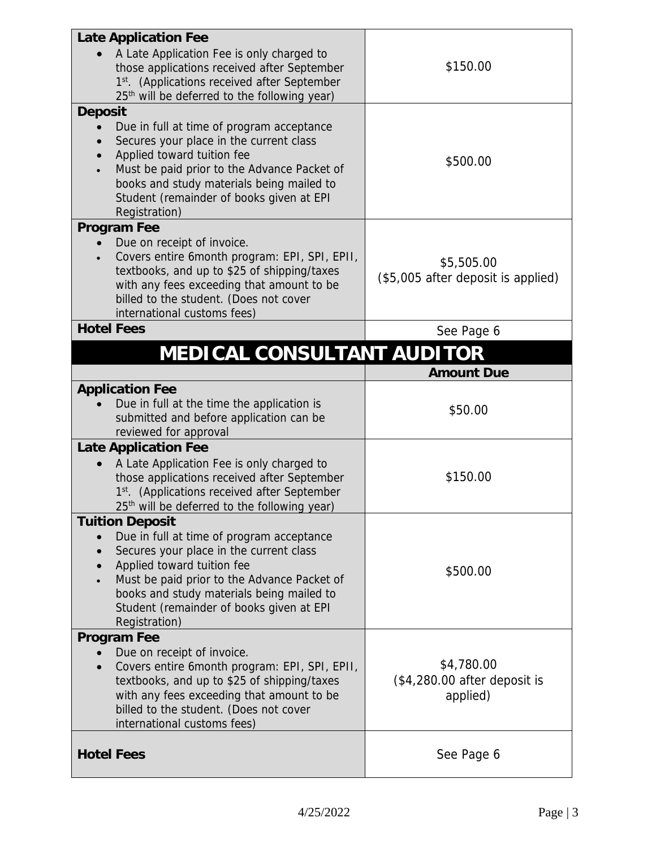| Late Application Fee                                                  |                                    |
|-----------------------------------------------------------------------|------------------------------------|
| A Late Application Fee is only charged to                             |                                    |
| those applications received after September                           | \$150.00                           |
| 1st. (Applications received after September                           |                                    |
| 25 <sup>th</sup> will be deferred to the following year)              |                                    |
|                                                                       |                                    |
| Deposit                                                               |                                    |
| Due in full at time of program acceptance                             |                                    |
| Secures your place in the current class                               |                                    |
| Applied toward tuition fee                                            | \$500.00                           |
| Must be paid prior to the Advance Packet of                           |                                    |
| books and study materials being mailed to                             |                                    |
| Student (remainder of books given at EPI                              |                                    |
| Registration)                                                         |                                    |
| Program Fee                                                           |                                    |
| Due on receipt of invoice.                                            |                                    |
| Covers entire 6month program: EPI, SPI, EPII,                         | \$5,505.00                         |
| textbooks, and up to \$25 of shipping/taxes                           | (\$5,005 after deposit is applied) |
| with any fees exceeding that amount to be                             |                                    |
| billed to the student. (Does not cover<br>international customs fees) |                                    |
| <b>Hotel Fees</b>                                                     |                                    |
|                                                                       | See Page 6                         |
| MEDICAL CONSULTANT AUDITOR                                            |                                    |
|                                                                       | <b>Amount Due</b>                  |
| <b>Application Fee</b>                                                |                                    |
| Due in full at the time the application is                            | \$50.00                            |
| submitted and before application can be                               |                                    |
| reviewed for approval                                                 |                                    |
| Late Application Fee                                                  |                                    |
| A Late Application Fee is only charged to                             |                                    |
| those applications received after September                           | \$150.00                           |
| 1st. (Applications received after September                           |                                    |
| 25 <sup>th</sup> will be deferred to the following year)              |                                    |
| <b>Tuition Deposit</b>                                                |                                    |
| Due in full at time of program acceptance                             |                                    |
| Secures your place in the current class                               |                                    |
| Applied toward tuition fee                                            | \$500.00                           |
| Must be paid prior to the Advance Packet of                           |                                    |
| books and study materials being mailed to                             |                                    |
| Student (remainder of books given at EPI                              |                                    |
| Registration)                                                         |                                    |
| Program Fee                                                           |                                    |
| Due on receipt of invoice.                                            |                                    |
| Covers entire 6 month program: EPI, SPI, EPII,                        | \$4,780.00                         |
| textbooks, and up to \$25 of shipping/taxes                           | $($4,280.00$ after deposit is      |
| with any fees exceeding that amount to be                             | applied)                           |
| billed to the student. (Does not cover                                |                                    |
| international customs fees)                                           |                                    |
|                                                                       |                                    |
| <b>Hotel Fees</b>                                                     | See Page 6                         |
|                                                                       |                                    |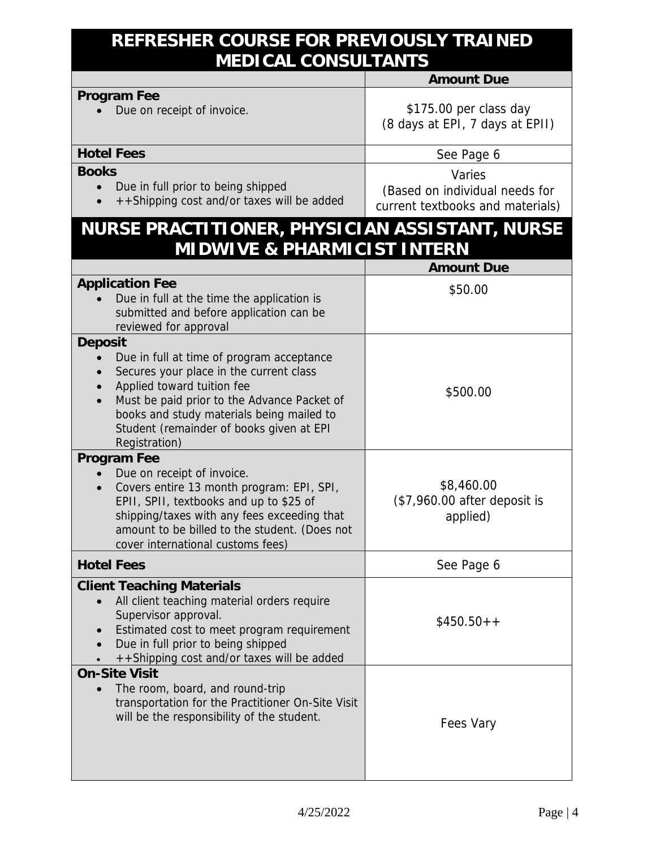### **REFRESHER COURSE FOR PREVIOUSLY TRAINED MEDICAL CONSULTANTS**

|                                                                                                                                                                                                                                                                                        | Amount Due                                                                   |
|----------------------------------------------------------------------------------------------------------------------------------------------------------------------------------------------------------------------------------------------------------------------------------------|------------------------------------------------------------------------------|
| Program Fee<br>Due on receipt of invoice.                                                                                                                                                                                                                                              | \$175.00 per class day<br>(8 days at EPI, 7 days at EPII)                    |
| <b>Hotel Fees</b>                                                                                                                                                                                                                                                                      | See Page 6                                                                   |
| <b>Books</b><br>Due in full prior to being shipped<br>++Shipping cost and/or taxes will be added                                                                                                                                                                                       | Varies<br>(Based on individual needs for<br>current textbooks and materials) |
| NURSE PRACTITIONER, PHYSICIAN ASSISTANT, NURSE<br>MIDWIVE & PHARMICIST INTERN                                                                                                                                                                                                          |                                                                              |
|                                                                                                                                                                                                                                                                                        | <b>Amount Due</b>                                                            |
| <b>Application Fee</b><br>Due in full at the time the application is<br>submitted and before application can be<br>reviewed for approval                                                                                                                                               | \$50.00                                                                      |
| Deposit<br>Due in full at time of program acceptance<br>Secures your place in the current class<br>Applied toward tuition fee<br>Must be paid prior to the Advance Packet of<br>books and study materials being mailed to<br>Student (remainder of books given at EPI<br>Registration) | \$500.00                                                                     |
| Program Fee<br>Due on receipt of invoice.<br>Covers entire 13 month program: EPI, SPI,<br>EPII, SPII, textbooks and up to \$25 of<br>shipping/taxes with any fees exceeding that<br>amount to be billed to the student. (Does not<br>cover international customs fees)                 | \$8,460.00<br>(\$7,960.00 after deposit is<br>applied)                       |
| <b>Hotel Fees</b>                                                                                                                                                                                                                                                                      | See Page 6                                                                   |
| <b>Client Teaching Materials</b><br>All client teaching material orders require<br>Supervisor approval.<br>Estimated cost to meet program requirement<br>Due in full prior to being shipped<br>++Shipping cost and/or taxes will be added                                              | $$450.50++$                                                                  |
| On-Site Visit<br>The room, board, and round-trip<br>$\bullet$<br>transportation for the Practitioner On-Site Visit<br>will be the responsibility of the student.                                                                                                                       | Fees Vary                                                                    |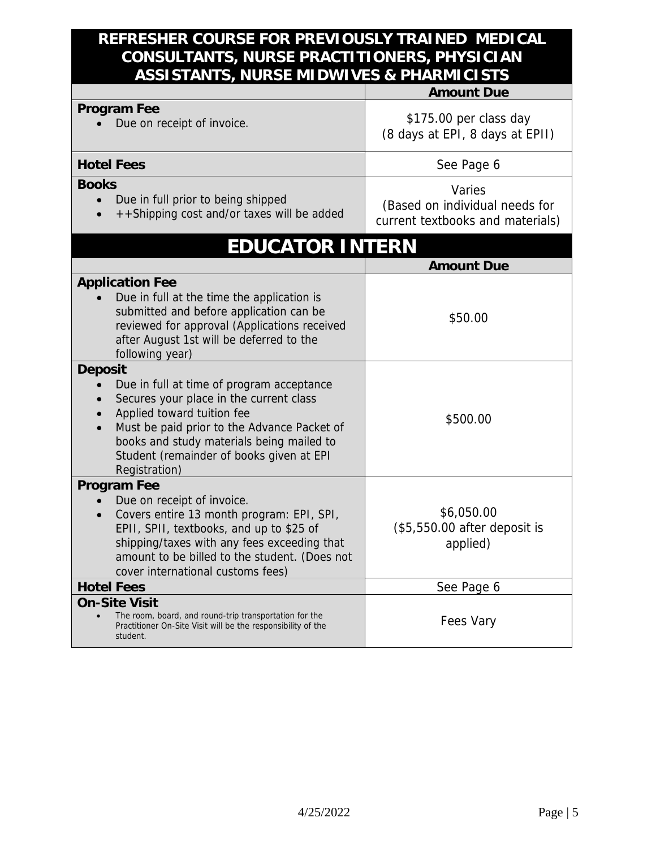#### **REFRESHER COURSE FOR PREVIOUSLY TRAINED MEDICAL CONSULTANTS, NURSE PRACTITIONERS, PHYSICIAN ASSISTANTS, NURSE MIDWIVES & PHARMICISTS**

|                                                                                                                                                                                                                                                                                        | <b>Amount Due</b>                                                            |
|----------------------------------------------------------------------------------------------------------------------------------------------------------------------------------------------------------------------------------------------------------------------------------------|------------------------------------------------------------------------------|
| Program Fee<br>Due on receipt of invoice.                                                                                                                                                                                                                                              | \$175.00 per class day<br>(8 days at EPI, 8 days at EPII)                    |
| <b>Hotel Fees</b>                                                                                                                                                                                                                                                                      | See Page 6                                                                   |
| <b>Books</b><br>Due in full prior to being shipped<br>$\bullet$<br>++Shipping cost and/or taxes will be added                                                                                                                                                                          | Varies<br>(Based on individual needs for<br>current textbooks and materials) |
| EDUCATOR INTERN                                                                                                                                                                                                                                                                        |                                                                              |
|                                                                                                                                                                                                                                                                                        | <b>Amount Due</b>                                                            |
| <b>Application Fee</b><br>Due in full at the time the application is<br>submitted and before application can be<br>reviewed for approval (Applications received<br>after August 1st will be deferred to the<br>following year)                                                         | \$50.00                                                                      |
| Deposit<br>Due in full at time of program acceptance<br>Secures your place in the current class<br>Applied toward tuition fee<br>Must be paid prior to the Advance Packet of<br>books and study materials being mailed to<br>Student (remainder of books given at EPI<br>Registration) | \$500.00                                                                     |
| Program Fee<br>Due on receipt of invoice.<br>Covers entire 13 month program: EPI, SPI,<br>EPII, SPII, textbooks, and up to \$25 of<br>shipping/taxes with any fees exceeding that<br>amount to be billed to the student. (Does not<br>cover international customs fees)                | \$6,050.00<br>$$5,550.00$ after deposit is<br>applied)                       |
| <b>Hotel Fees</b>                                                                                                                                                                                                                                                                      | See Page 6                                                                   |
| On-Site Visit<br>The room, board, and round-trip transportation for the<br>Practitioner On-Site Visit will be the responsibility of the<br>student.                                                                                                                                    | Fees Vary                                                                    |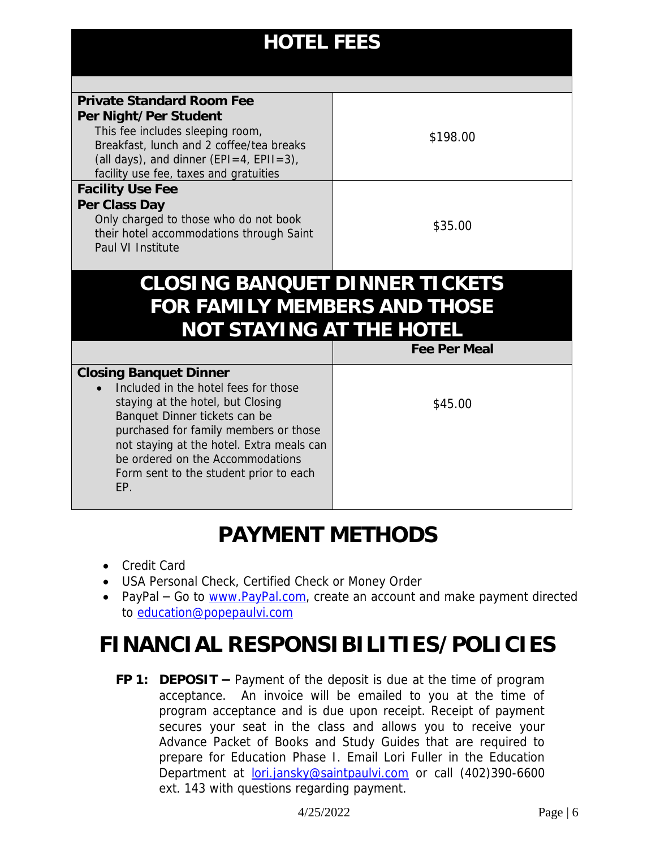| <b>HOTEL FEES</b>                                                                                                                                                                                                                                                                                                      |              |  |
|------------------------------------------------------------------------------------------------------------------------------------------------------------------------------------------------------------------------------------------------------------------------------------------------------------------------|--------------|--|
|                                                                                                                                                                                                                                                                                                                        |              |  |
| Private Standard Room Fee<br>Per Night/Per Student<br>This fee includes sleeping room,<br>Breakfast, lunch and 2 coffee/tea breaks<br>(all days), and dinner (EPI=4, EPII=3),<br>facility use fee, taxes and gratuities                                                                                                | \$198.00     |  |
| <b>Facility Use Fee</b><br>Per Class Day<br>Only charged to those who do not book<br>their hotel accommodations through Saint<br>Paul VI Institute                                                                                                                                                                     | \$35.00      |  |
| CLOSING BANQUET DINNER TICKETS                                                                                                                                                                                                                                                                                         |              |  |
| FOR FAMILY MEMBERS AND THOSE                                                                                                                                                                                                                                                                                           |              |  |
| NOT STAYING AT THE HOTEL                                                                                                                                                                                                                                                                                               |              |  |
|                                                                                                                                                                                                                                                                                                                        | Fee Per Meal |  |
| <b>Closing Banquet Dinner</b><br>Included in the hotel fees for those<br>staying at the hotel, but Closing<br>Banquet Dinner tickets can be<br>purchased for family members or those<br>not staying at the hotel. Extra meals can<br>be ordered on the Accommodations<br>Form sent to the student prior to each<br>EP. | \$45.00      |  |

# **PAYMENT METHODS**

- Credit Card
- USA Personal Check, Certified Check or Money Order
- PayPal Go to [www.PayPal.com,](http://www.paypal.com/) create an account and make payment directed to [education@popepaulvi.com](mailto:education@popepaulvi.com)

# **FINANCIAL RESPONSIBILITIES/POLICIES**

**FP 1: DEPOSIT –** Payment of the deposit is due at the time of program acceptance. An invoice will be emailed to you at the time of program acceptance and is due upon receipt. Receipt of payment secures your seat in the class and allows you to receive your Advance Packet of Books and Study Guides that are required to prepare for Education Phase I. Email Lori Fuller in the Education Department at **lori.jansky@saintpaulvi.com** or call (402)390-6600 ext. 143 with questions regarding payment.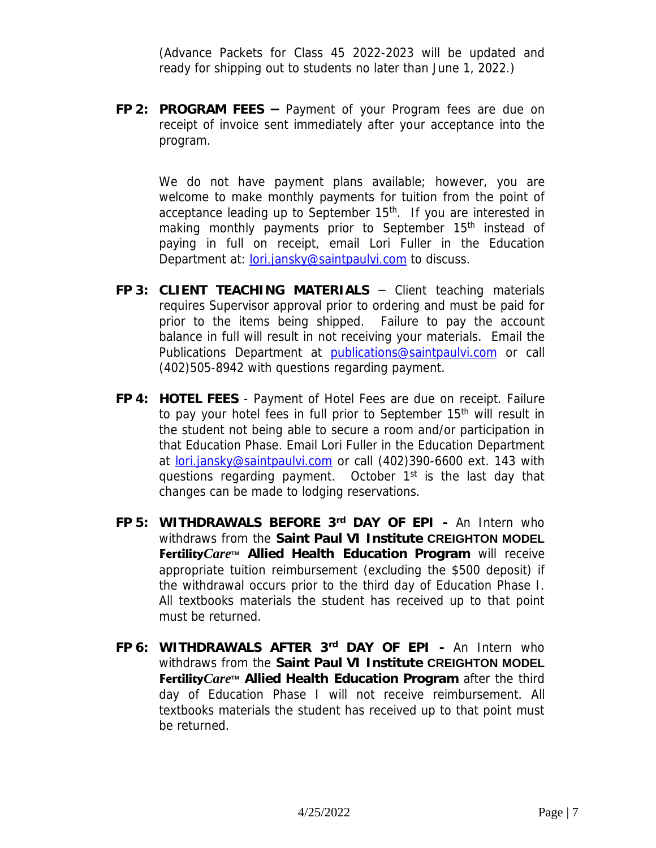(Advance Packets for Class 45 2022-2023 will be updated and ready for shipping out to students no later than June 1, 2022.)

**FP 2: PROGRAM FEES –** Payment of your Program fees are due on receipt of invoice sent immediately after your acceptance into the program.

We do not have payment plans available; however, you are welcome to make monthly payments for tuition from the point of acceptance leading up to September 15<sup>th</sup>. If you are interested in making monthly payments prior to September 15<sup>th</sup> instead of paying in full on receipt, email Lori Fuller in the Education Department at: *lori.jansky@saintpaulvi.com* to discuss.

- **FP 3: CLIENT TEACHING MATERIALS** Client teaching materials requires Supervisor approval prior to ordering and must be paid for prior to the items being shipped. Failure to pay the account balance in full will result in not receiving your materials. Email the Publications Department at [publications@saintpaulvi.com](mailto:publications@saintpaulvi.com) or call (402)505-8942 with questions regarding payment.
- **FP 4: HOTEL FEES** Payment of Hotel Fees are due on receipt. Failure to pay your hotel fees in full prior to September 15<sup>th</sup> will result in the student not being able to secure a room and/or participation in that Education Phase. Email Lori Fuller in the Education Department at [lori.jansky@saintpaulvi.com](mailto:lori.jansky@saintpaulvi.com) or call (402)390-6600 ext. 143 with questions regarding payment. October 1<sup>st</sup> is the last day that changes can be made to lodging reservations.
- **FP 5: WITHDRAWALS BEFORE 3rd DAY OF EPI -** An Intern who withdraws from the **Saint Paul VI Institute CREIGHTON MODEL Fertility***Care***TM Allied Health Education Program** will receive appropriate tuition reimbursement (excluding the \$500 deposit) if the withdrawal occurs prior to the third day of Education Phase I. All textbooks materials the student has received up to that point must be returned.
- **FP 6: WITHDRAWALS AFTER 3rd DAY OF EPI -** An Intern who withdraws from the **Saint Paul VI Institute CREIGHTON MODEL Fertility***Care***TM Allied Health Education Program** after the third day of Education Phase I will not receive reimbursement. All textbooks materials the student has received up to that point must be returned.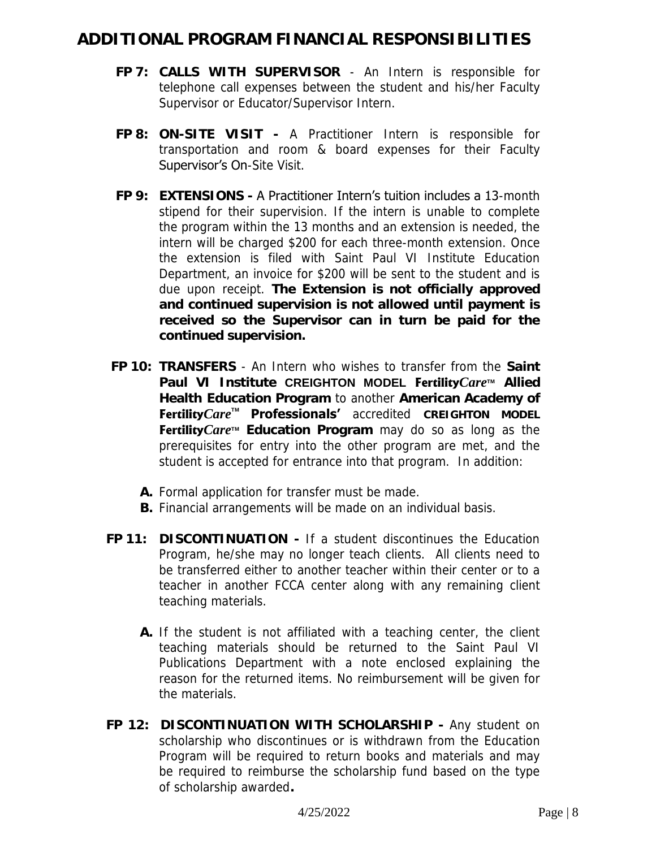### **ADDITIONAL PROGRAM FINANCIAL RESPONSIBILITIES**

- **FP 7: CALLS WITH SUPERVISOR** An Intern is responsible for telephone call expenses between the student and his/her Faculty Supervisor or Educator/Supervisor Intern.
- **FP 8: ON-SITE VISIT -** A Practitioner Intern is responsible for transportation and room & board expenses for their Faculty Supervisor's On-Site Visit.
- **FP 9: EXTENSIONS** A Practitioner Intern's tuition includes a 13-month stipend for their supervision. If the intern is unable to complete the program within the 13 months and an extension is needed, the intern will be charged \$200 for each three-month extension. Once the extension is filed with Saint Paul VI Institute Education Department, an invoice for \$200 will be sent to the student and is due upon receipt. **The Extension is not officially approved and continued supervision is not allowed until payment is received so the Supervisor can in turn be paid for the continued supervision.**
- **FP 10: TRANSFERS** An Intern who wishes to transfer from the **Saint Paul VI Institute CREIGHTON MODEL Fertility***Care***TM Allied Health Education Program** to another **American Academy of Fertility***Care***TM Professionals'** accredited **CREIGHTON MODEL Fertility***Care***TM Education Program** may do so as long as the prerequisites for entry into the other program are met, and the student is accepted for entrance into that program. In addition:
	- **A.** Formal application for transfer must be made.
	- **B.** Financial arrangements will be made on an individual basis.
- **FP 11: DISCONTINUATION** If a student discontinues the Education Program, he/she may no longer teach clients. All clients need to be transferred either to another teacher within their center or to a teacher in another FCCA center along with any remaining client teaching materials.
	- **A.** If the student is not affiliated with a teaching center, the client teaching materials should be returned to the Saint Paul VI Publications Department with a note enclosed explaining the reason for the returned items. No reimbursement will be given for the materials.
- **FP 12: DISCONTINUATION WITH SCHOLARSHIP** Any student on scholarship who discontinues or is withdrawn from the Education Program will be required to return books and materials and may be required to reimburse the scholarship fund based on the type of scholarship awarded**.**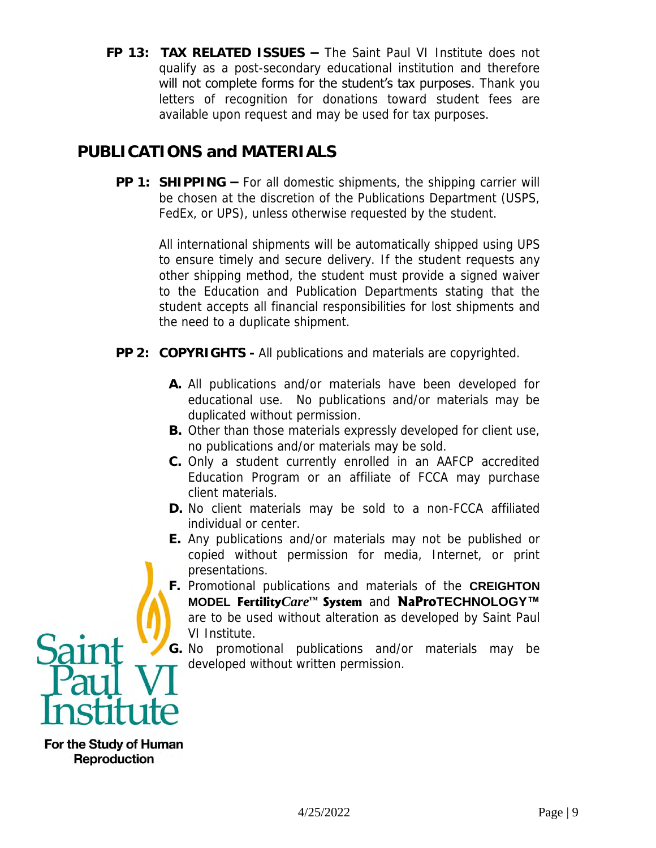**FP 13: TAX RELATED ISSUES –** The Saint Paul VI Institute does not qualify as a post-secondary educational institution and therefore will not complete forms for the student's tax purposes. Thank you letters of recognition for donations toward student fees are available upon request and may be used for tax purposes.

### **PUBLICATIONS and MATERIALS**

**PP 1: SHIPPING –** For all domestic shipments, the shipping carrier will be chosen at the discretion of the Publications Department (USPS, FedEx, or UPS), unless otherwise requested by the student.

 All international shipments will be automatically shipped using UPS to ensure timely and secure delivery. If the student requests any other shipping method, the student must provide a signed waiver to the Education and Publication Departments stating that the student accepts all financial responsibilities for lost shipments and the need to a duplicate shipment.

- **PP 2: COPYRIGHTS** All publications and materials are copyrighted.
	- **A.** All publications and/or materials have been developed for educational use. No publications and/or materials may be duplicated without permission.
	- **B.** Other than those materials expressly developed for client use, no publications and/or materials may be sold.
	- **C.** Only a student currently enrolled in an AAFCP accredited Education Program or an affiliate of FCCA may purchase client materials.
	- **D.** No client materials may be sold to a non-FCCA affiliated individual or center.
	- **E.** Any publications and/or materials may not be published or copied without permission for media, Internet, or print presentations.
	- **F.** Promotional publications and materials of the **CREIGHTON MODEL Fertility***Care***™ System** and **NaProTECHNOLOGY™** are to be used without alteration as developed by Saint Paul VI Institute.

**G.** No promotional publications and/or materials may be developed without written permission.



For the Study of Human **Reproduction**